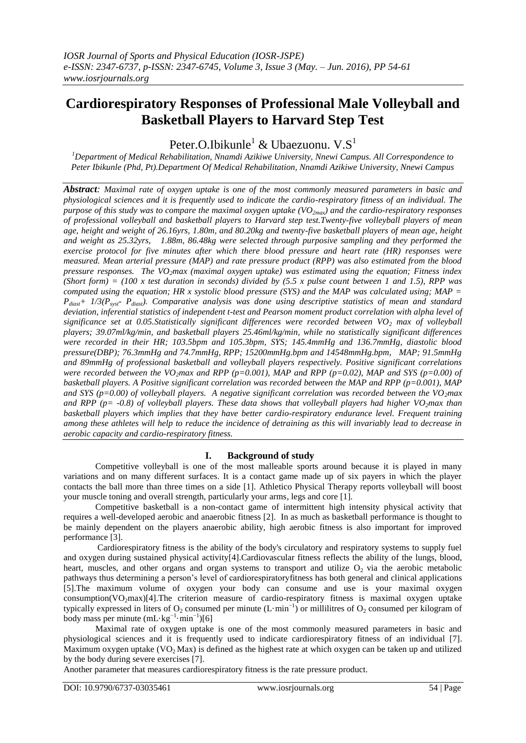# **Cardiorespiratory Responses of Professional Male Volleyball and Basketball Players to Harvard Step Test**

Peter.O.Ibikunle $^1$  & Ubaezuonu. V.S $^1$ 

*<sup>1</sup>Department of Medical Rehabilitation, Nnamdi Azikiwe University, Nnewi Campus. All Correspondence to Peter Ibikunle (Phd, Pt).Department Of Medical Rehabilitation, Nnamdi Azikiwe University, Nnewi Campus*

*Abstract: Maximal rate of oxygen uptake is one of the most commonly measured parameters in basic and physiological sciences and it is frequently used to indicate the cardio-respiratory fitness of an individual. The purpose of this study was to compare the maximal oxygen uptake (VO2max) and the cardio-respiratory responses of professional volleyball and basketball players to Harvard step test.Twenty-five volleyball players of mean age, height and weight of 26.16yrs, 1.80m, and 80.20kg and twenty-five basketball players of mean age, height and weight as 25.32yrs, 1.88m, 86.48kg were selected through purposive sampling and they performed the exercise protocol for five minutes after which there blood pressure and heart rate (HR) responses were measured. Mean arterial pressure (MAP) and rate pressure product (RPP) was also estimated from the blood pressure responses. The VO2max (maximal oxygen uptake) was estimated using the equation; Fitness index (Short form) = (100 x test duration in seconds) divided by (5.5 x pulse count between 1 and 1.5), RPP was computed using the equation; HR x systolic blood pressure (SYS) and the MAP was calculated using; MAP = Pdiast+ 1/3(Psyst- Pdiast). Comparative analysis was done using descriptive statistics of mean and standard deviation, inferential statistics of independent t-test and Pearson moment product correlation with alpha level of significance set at 0.05.Statistically significant differences were recorded between VO<sup>2</sup> max of volleyball players; 39.07ml/kg/min, and basketball players 25.46ml/kg/min, while no statistically significant differences were recorded in their HR; 103.5bpm and 105.3bpm, SYS; 145.4mmHg and 136.7mmHg, diastolic blood pressure(DBP); 76.3mmHg and 74.7mmHg, RPP; 15200mmHg.bpm and 14548mmHg.bpm, MAP; 91.5mmHg and 89mmHg of professional basketball and volleyball players respectively. Positive significant correlations*  were recorded between the VO<sub>2</sub>*max and RPP* ( $p=0.001$ ), MAP and RPP ( $p=0.02$ ), MAP and SYS ( $p=0.00$ ) of *basketball players. A Positive significant correlation was recorded between the MAP and RPP (p=0.001), MAP and SYS (p=0.00) of volleyball players. A negative significant correlation was recorded between the VO2max and RPP (p= -0.8) of volleyball players. These data shows that volleyball players had higher VO<sub>2</sub><i>max than basketball players which implies that they have better cardio-respiratory endurance level. Frequent training among these athletes will help to reduce the incidence of detraining as this will invariably lead to decrease in aerobic capacity and cardio-respiratory fitness.*

## **I. Background of study**

Competitive volleyball is one of the most malleable sports around because it is played in many variations and on many different surfaces. It is a contact game made up of six payers in which the player contacts the ball more than three times on a side [1]. Athletico Physical Therapy reports volleyball will boost your muscle toning and overall strength, particularly your arms, legs and core [1].

Competitive basketball is a non-contact game of intermittent high intensity physical activity that requires a well-developed aerobic and anaerobic fitness [2]. In as much as basketball performance is thought to be mainly dependent on the players anaerobic ability, high aerobic fitness is also important for improved performance [3].

Cardiorespiratory fitness is the ability of the body's circulatory and respiratory systems to supply fuel and oxygen during sustained physical activity[4].Cardiovascular fitness reflects the ability of the lungs, blood, heart, muscles, and other organs and organ systems to transport and utilize  $O<sub>2</sub>$  via the aerobic metabolic pathways thus determining a person"s level of cardiorespiratoryfitness has both general and clinical applications [5].The maximum volume of oxygen your body can consume and use is your maximal oxygen consumption(VO<sub>2</sub>max)[4].The criterion measure of cardio-respiratory fitness is maximal oxygen uptake typically expressed in liters of O<sub>2</sub> consumed per minute (L·min<sup>-1</sup>) or millilitres of O<sub>2</sub> consumed per kilogram of body mass per minute  $(mL \cdot kg^{-1} \cdot min^{-1})[6]$ 

Maximal rate of oxygen uptake is one of the most commonly measured parameters in basic and physiological sciences and it is frequently used to indicate cardiorespiratory fitness of an individual [7]. Maximum oxygen uptake ( $VO<sub>2</sub>$  Max) is defined as the highest rate at which oxygen can be taken up and utilized by the body during severe exercises [7].

Another parameter that measures cardiorespiratory fitness is the rate pressure product.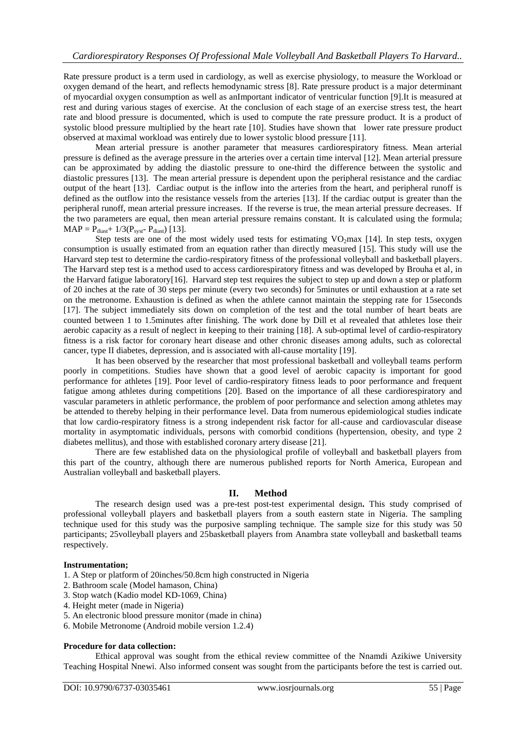Rate pressure product is a term used in cardiology, as well as exercise physiology, to measure the Workload or oxygen demand of the heart, and reflects hemodynamic stress [8]. Rate pressure product is a major determinant of myocardial oxygen consumption as well as anImportant indicator of ventricular function [9].It is measured at rest and during various stages of exercise. At the conclusion of each stage of an exercise stress test, the heart rate and blood pressure is documented, which is used to compute the rate pressure product. It is a product of systolic blood pressure multiplied by the heart rate [10]. Studies have shown that lower rate pressure product observed at maximal workload was entirely due to lower systolic blood pressure [11].

Mean arterial pressure is another parameter that measures cardiorespiratory fitness. Mean arterial pressure is defined as the average pressure in the arteries over a certain time interval [12]. Mean arterial pressure can be approximated by adding the diastolic pressure to one-third the difference between the systolic and diastolic pressures [13]. The mean arterial pressure is dependent upon the peripheral resistance and the cardiac output of the heart [13]. Cardiac output is the inflow into the arteries from the heart, and peripheral runoff is defined as the outflow into the resistance vessels from the arteries [13]. If the cardiac output is greater than the peripheral runoff, mean arterial pressure increases. If the reverse is true, the mean arterial pressure decreases. If the two parameters are equal, then mean arterial pressure remains constant. It is calculated using the formula;  $MAP = P_{\text{dissf}} + 1/3(P_{\text{syst}} - P_{\text{dissf}})$  [13].

Step tests are one of the most widely used tests for estimating  $VO<sub>2</sub>$ max [14]. In step tests, oxygen consumption is usually estimated from an equation rather than directly measured [15]. This study will use the Harvard step test to determine the cardio-respiratory fitness of the professional volleyball and basketball players. The Harvard step test is a method used to access cardiorespiratory fitness and was developed by Brouha et al, in the Harvard fatigue laboratory[16]. Harvard step test requires the subject to step up and down a step or platform of 20 inches at the rate of 30 steps per minute (every two seconds) for 5minutes or until exhaustion at a rate set on the metronome. Exhaustion is defined as when the athlete cannot maintain the stepping rate for 15seconds [17]. The subject immediately sits down on completion of the test and the total number of heart beats are counted between 1 to 1.5minutes after finishing. The work done by Dill et al revealed that athletes lose their aerobic capacity as a result of neglect in keeping to their training [18]. A sub-optimal level of cardio-respiratory fitness is a risk factor for coronary heart disease and other chronic diseases among adults, such as colorectal cancer, type II diabetes, depression, and is associated with all-cause mortality [19].

It has been observed by the researcher that most professional basketball and volleyball teams perform poorly in competitions. Studies have shown that a good level of aerobic capacity is important for good performance for athletes [19]. Poor level of cardio-respiratory fitness leads to poor performance and frequent fatigue among athletes during competitions [20]. Based on the importance of all these cardiorespiratory and vascular parameters in athletic performance, the problem of poor performance and selection among athletes may be attended to thereby helping in their performance level. Data from numerous epidemiological studies indicate that low cardio-respiratory fitness is a strong independent risk factor for all-cause and cardiovascular disease mortality in asymptomatic individuals, persons with comorbid conditions (hypertension, obesity, and type 2 diabetes mellitus), and those with established coronary artery disease [21].

There are few established data on the physiological profile of volleyball and basketball players from this part of the country, although there are numerous published reports for North America, European and Australian volleyball and basketball players.

## **II. Method**

The research design used was a pre-test post-test experimental design**.** This study comprised of professional volleyball players and basketball players from a south eastern state in Nigeria. The sampling technique used for this study was the purposive sampling technique. The sample size for this study was 50 participants; 25volleyball players and 25basketball players from Anambra state volleyball and basketball teams respectively.

#### **Instrumentation;**

1. A Step or platform of 20inches/50.8cm high constructed in Nigeria

- 2. Bathroom scale (Model hamason, China)
- 3. Stop watch (Kadio model KD-1069, China)
- 4. Height meter (made in Nigeria)
- 5. An electronic blood pressure monitor (made in china)
- 6. Mobile Metronome (Android mobile version 1.2.4)

#### **Procedure for data collection:**

Ethical approval was sought from the ethical review committee of the Nnamdi Azikiwe University Teaching Hospital Nnewi. Also informed consent was sought from the participants before the test is carried out.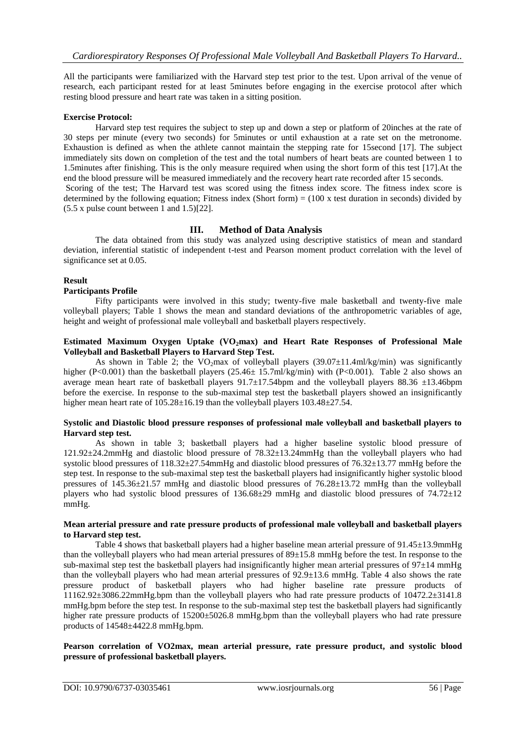All the participants were familiarized with the Harvard step test prior to the test. Upon arrival of the venue of research, each participant rested for at least 5minutes before engaging in the exercise protocol after which resting blood pressure and heart rate was taken in a sitting position.

## **Exercise Protocol:**

Harvard step test requires the subject to step up and down a step or platform of 20inches at the rate of 30 steps per minute (every two seconds) for 5minutes or until exhaustion at a rate set on the metronome. Exhaustion is defined as when the athlete cannot maintain the stepping rate for 15second [17]. The subject immediately sits down on completion of the test and the total numbers of heart beats are counted between 1 to 1.5minutes after finishing. This is the only measure required when using the short form of this test [17].At the end the blood pressure will be measured immediately and the recovery heart rate recorded after 15 seconds. Scoring of the test; The Harvard test was scored using the fitness index score. The fitness index score is determined by the following equation; Fitness index (Short form) =  $(100 \times \text{test duration in seconds})$  divided by (5.5 x pulse count between 1 and 1.5)[22].

## **III. Method of Data Analysis**

The data obtained from this study was analyzed using descriptive statistics of mean and standard deviation, inferential statistic of independent t-test and Pearson moment product correlation with the level of significance set at 0.05.

## **Result**

#### **Participants Profile**

Fifty participants were involved in this study; twenty-five male basketball and twenty-five male volleyball players; Table 1 shows the mean and standard deviations of the anthropometric variables of age, height and weight of professional male volleyball and basketball players respectively.

#### **Estimated Maximum Oxygen Uptake (VO2max) and Heart Rate Responses of Professional Male Volleyball and Basketball Players to Harvard Step Test.**

As shown in Table 2; the VO<sub>2</sub>max of volleyball players (39.07 $\pm$ 11.4ml/kg/min) was significantly higher (P<0.001) than the basketball players (25.46± 15.7ml/kg/min) with (P<0.001). Table 2 also shows an average mean heart rate of basketball players  $91.7 \pm 17.54$ bpm and the volleyball players 88.36  $\pm 13.46$ bpm before the exercise. In response to the sub-maximal step test the basketball players showed an insignificantly higher mean heart rate of  $105.28 \pm 16.19$  than the volleyball players  $103.48 \pm 27.54$ .

#### **Systolic and Diastolic blood pressure responses of professional male volleyball and basketball players to Harvard step test.**

As shown in table 3; basketball players had a higher baseline systolic blood pressure of 121.92±24.2mmHg and diastolic blood pressure of 78.32±13.24mmHg than the volleyball players who had systolic blood pressures of 118.32±27.54mmHg and diastolic blood pressures of 76.32±13.77 mmHg before the step test. In response to the sub-maximal step test the basketball players had insignificantly higher systolic blood pressures of 145.36±21.57 mmHg and diastolic blood pressures of 76.28±13.72 mmHg than the volleyball players who had systolic blood pressures of 136.68±29 mmHg and diastolic blood pressures of 74.72±12 mmHg.

#### **Mean arterial pressure and rate pressure products of professional male volleyball and basketball players to Harvard step test.**

Table 4 shows that basketball players had a higher baseline mean arterial pressure of  $91.45\pm13.9$ mmHg than the volleyball players who had mean arterial pressures of 89±15.8 mmHg before the test. In response to the sub-maximal step test the basketball players had insignificantly higher mean arterial pressures of  $97\pm14$  mmHg than the volleyball players who had mean arterial pressures of 92.9±13.6 mmHg. Table 4 also shows the rate pressure product of basketball players who had higher baseline rate pressure products of 11162.92±3086.22mmHg.bpm than the volleyball players who had rate pressure products of 10472.2±3141.8 mmHg.bpm before the step test. In response to the sub-maximal step test the basketball players had significantly higher rate pressure products of  $15200\pm5026.8$  mmHg.bpm than the volleyball players who had rate pressure products of 14548±4422.8 mmHg.bpm.

## **Pearson correlation of VO2max, mean arterial pressure, rate pressure product, and systolic blood pressure of professional basketball players.**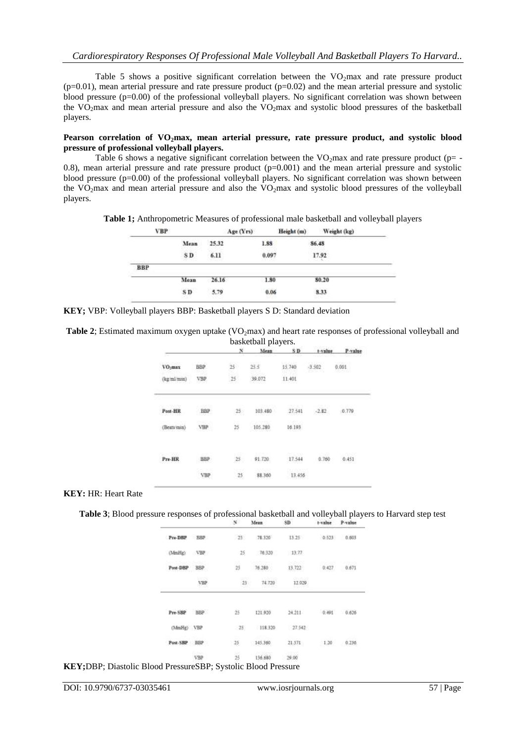Table 5 shows a positive significant correlation between the  $VO<sub>2</sub>max$  and rate pressure product  $(p=0.01)$ , mean arterial pressure and rate pressure product  $(p=0.02)$  and the mean arterial pressure and systolic blood pressure (p=0.00) of the professional volleyball players. No significant correlation was shown between the VO<sub>2</sub>max and mean arterial pressure and also the VO<sub>2</sub>max and systolic blood pressures of the basketball players.

#### **Pearson correlation of VO2max, mean arterial pressure, rate pressure product, and systolic blood pressure of professional volleyball players.**

Table 6 shows a negative significant correlation between the  $VO<sub>2</sub>$  max and rate pressure product (p= -0.8), mean arterial pressure and rate pressure product  $(p=0.001)$  and the mean arterial pressure and systolic blood pressure (p=0.00) of the professional volleyball players. No significant correlation was shown between the  $VO<sub>2</sub>max$  and mean arterial pressure and also the  $VO<sub>2</sub>max$  and systolic blood pressures of the volleyball players.

**Table 1;** Anthropometric Measures of professional male basketball and volleyball players

|                 | Age(Yrs) | Height (m) | Weight (kg) |
|-----------------|----------|------------|-------------|
| Mean            | 25.32    | 1.88       | 86.48       |
| SD <sub>1</sub> | 6.11     | 0.097      | 17.92       |
|                 |          |            |             |
| Mean            | 26.16    | 1.80       | 80.20       |
| SD <sub></sub>  | 5.79     | 0.06       | 8.33        |
|                 |          |            |             |

**KEY;** VBP: Volleyball players BBP: Basketball players S D: Standard deviation

**Table 2**; Estimated maximum oxygen uptake (VO<sub>2</sub>max) and heart rate responses of professional volleyball and basketball players.

|                     |            |     | baskubali piayuis. |        |          |         |
|---------------------|------------|-----|--------------------|--------|----------|---------|
|                     |            | x   | Mean               | SD.    | t-value  | P-value |
| VO <sub>2</sub> max | <b>BBP</b> | 25  | 25.5               | 15,740 | $-3.502$ | 0.001   |
| (kg/ml/main)        | VBP        | 15  | 39.072             | 11.401 |          |         |
| 05022<br>Post-HR    | <b>BBP</b> | 25: | 103.480            | 27.541 | $-2.82$  | 0.779   |
| Beats min)          | VBP        | 25  | 105.280            | 16.193 |          |         |
| -1000<br>Pre-HR     | <b>BBP</b> |     | 91.720             | 17.544 | 0.760    | 0.451   |
|                     | VHP        | 25  | 88:360             | 13:456 |          |         |

#### **KEY:** HR: Heart Rate

**Table 3**; Blood pressure responses of professional basketball and volleyball players to Harvard step test

|              |            | N.              | Mean     | SD.      | t-value | P-value         |
|--------------|------------|-----------------|----------|----------|---------|-----------------|
| Pre-DBP      | BBP        | $-25$           | 78.320   | 13.25    |         | 0.523 0.603     |
| (MmHg)       | VBP        | 25 <sub>1</sub> | 76:320   | $-13.77$ |         |                 |
| Paut-DBP     | <b>BBP</b> | 25              | 76.280   | 13.722   | 0.427   | 0.671           |
|              | VEP        | $-25$           | 74.720   | 12.020   |         |                 |
| Pre-SBP BBP  |            | $25 -$          | 121,920  | 24.211   |         | $0.491$ $0.626$ |
| (MmHg) VBP   |            | $-25$           | 118.320  | 27.542   |         |                 |
| Post-SBP HBP |            | 25              | 145.360. | 21.571   | 1.20    | 0.230           |
|              |            |                 | 136.680  | 29.00    |         |                 |

**KEY;**DBP; Diastolic Blood PressureSBP; Systolic Blood Pressure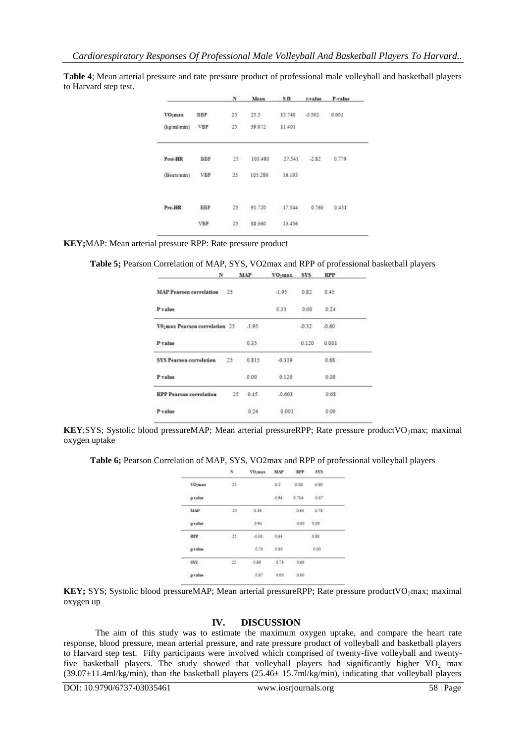**Table 4**; Mean arterial pressure and rate pressure product of professional male volleyball and basketball players to Harvard step test.

|                     |               |        |                        |        |                     | N Mean SD t-value P-value |  |
|---------------------|---------------|--------|------------------------|--------|---------------------|---------------------------|--|
| VO <sub>3</sub> max | <b>BBP</b>    |        | 25 25.5                |        | 15.740 -3.502 0.001 |                           |  |
| (kg/mi/min) VBP     |               |        | 25 39.072              | 11,401 |                     |                           |  |
| Post-HR             | <b>BBP</b>    |        | 25 103.480 27.541 2.82 |        |                     | 0.779                     |  |
| (Beata'min)         | VBP           |        | 25 105.280             | 16,193 |                     |                           |  |
| Pre-HR              | BBP<br>Q 1200 | $25 -$ | 91.720                 | 17.544 | 0.760               | 0.451                     |  |
|                     | <b>VBP</b>    | 25     | 88.360                 | 13.456 |                     |                           |  |

**KEY;**MAP: Mean arterial pressure RPP: Rate pressure product

**Table 5;** Pearson Correlation of MAP, SYS, VO2max and RPP of professional basketball players

| N                                 |    | MAP     | $VO2max$ $SYS$ |         | <b>RPP</b> |
|-----------------------------------|----|---------|----------------|---------|------------|
| <b>MAP Pearson correlation</b> 25 |    |         | $-1.95$        | 0.82    | 0.45       |
| P value                           |    |         | 0.35           | 0.00    | 0.24       |
| VO:max Pearson correlation 25     |    | $-1.95$ |                | $-0.32$ | 0.60       |
| P value                           |    | 035     |                | 0.120   | 0.001      |
| <b>SYS Pearson correlation</b>    | 25 | 0.815   | $-0.319$       |         | 0.68       |
| Pvalue                            |    | 0.00    | 0.120          |         | 0.00       |
| <b>RPP</b> Pearson correlation    | 25 | 0.45    | $-0.603$       |         | 0.68       |
| Pvalue                            |    | 0.24    | 0.001          |         | 0.00       |

**KEY**;SYS; Systolic blood pressureMAP; Mean arterial pressureRPP; Rate pressure productVO<sub>2</sub>max; maximal oxygen uptake

**Table 6;** Pearson Correlation of MAP, SYS, VO2max and RPP of professional volleyball players

|                       |       | VO <sub>2</sub> max | MAP                 | <b>RPP</b><br>2000 B      | 515.          |  |
|-----------------------|-------|---------------------|---------------------|---------------------------|---------------|--|
| <b>VOURSE</b>         | 25.   |                     | $-0.1$              | $-0.08$                   | $-0.90$       |  |
| pralas                |       |                     | $-3.94$<br>---      | sen<br>0.704<br>20 D A 20 | $0.67$        |  |
| MAP                   | $-25$ | 0.16                |                     |                           | $0.64 - 0.78$ |  |
| n segeri i<br>pyalar. |       | oss.                |                     |                           | $0.00 - 0.00$ |  |
| RPP                   | 25    | $-0.08$             | 0.64                |                           | 0.88          |  |
| picke                 |       | 0.70                | 0.00                |                           | 0.00          |  |
| SYS<br>- 1270         | 25.   | 0.89<br>95 J W T. E | 0.71<br>ANGEL POWER | 0.66                      |               |  |
| praise                |       | 0.67                | 0.05                | 0.00                      |               |  |
|                       |       |                     |                     |                           |               |  |

**KEY;** SYS; Systolic blood pressureMAP; Mean arterial pressureRPP; Rate pressure productVO<sub>2</sub>max; maximal oxygen up

## **IV. DISCUSSION**

The aim of this study was to estimate the maximum oxygen uptake, and compare the heart rate response, blood pressure, mean arterial pressure, and rate pressure product of volleyball and basketball players to Harvard step test. Fifty participants were involved which comprised of twenty-five volleyball and twentyfive basketball players. The study showed that volleyball players had significantly higher VO<sub>2</sub> max (39.07±11.4ml/kg/min), than the basketball players (25.46± 15.7ml/kg/min), indicating that volleyball players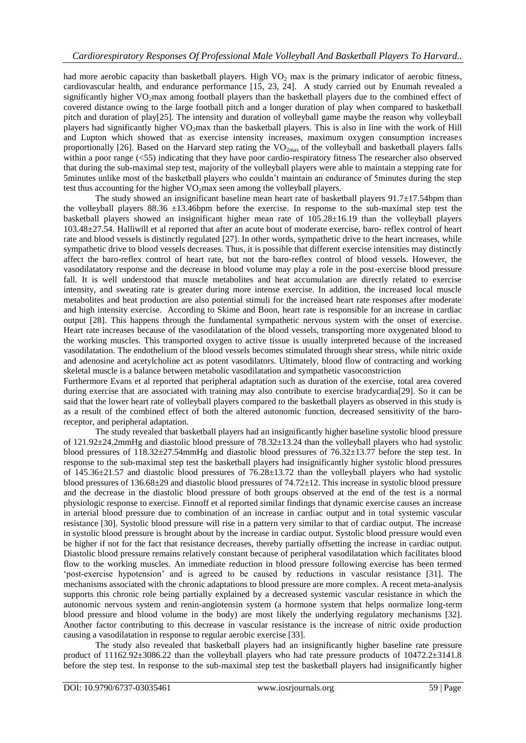had more aerobic capacity than basketball players. High  $VO<sub>2</sub>$  max is the primary indicator of aerobic fitness, cardiovascular health, and endurance performance [15, 23, 24]. A study carried out by Enumah revealed a significantly higher VO<sub>2</sub>max among football players than the basketball players due to the combined effect of covered distance owing to the large football pitch and a longer duration of play when compared to basketball pitch and duration of play[25]. The intensity and duration of volleyball game maybe the reason why volleyball players had significantly higher  $VO<sub>2</sub>$ max than the basketball players. This is also in line with the work of Hill and Lupton which showed that as exercise intensity increases, maximum oxygen consumption increases proportionally [26]. Based on the Harvard step rating the  $VO_{2max}$  of the volleyball and basketball players falls within a poor range (<55) indicating that they have poor cardio-respiratory fitness The researcher also observed that during the sub-maximal step test, majority of the volleyball players were able to maintain a stepping rate for 5minutes unlike most of the basketball players who couldn"t maintain an endurance of 5minutes during the step test thus accounting for the higher  $VO<sub>2</sub>$ max seen among the volleyball players.

The study showed an insignificant baseline mean heart rate of basketball players  $91.7\pm17.54$ bpm than the volleyball players  $88.36 \pm 13.46$ bpm before the exercise. In response to the sub-maximal step test the basketball players showed an insignificant higher mean rate of 105.28±16.19 than the volleyball players 103.48±27.54. Halliwill et al reported that after an acute bout of moderate exercise, baro- reflex control of heart rate and blood vessels is distinctly regulated [27]. In other words, sympathetic drive to the heart increases, while sympathetic drive to blood vessels decreases. Thus, it is possible that different exercise intensities may distinctly affect the baro-reflex control of heart rate, but not the baro-reflex control of blood vessels. However, the vasodilatatory response and the decrease in blood volume may play a role in the post-exercise blood pressure fall. It is well understood that muscle metabolites and heat accumulation are directly related to exercise intensity, and sweating rate is greater during more intense exercise. In addition, the increased local muscle metabolites and heat production are also potential stimuli for the increased heart rate responses after moderate and high intensity exercise. According to Skime and Boon, heart rate is responsible for an increase in cardiac output [28]. This happens through the fundamental sympathetic nervous system with the onset of exercise. Heart rate increases because of the vasodilatation of the blood vessels, transporting more oxygenated blood to the working muscles. This transported oxygen to active tissue is usually interpreted because of the increased vasodilatation. The endothelium of the blood vessels becomes stimulated through shear stress, while nitric oxide and adenosine and acetylcholine act as potent vasodilators. Ultimately, blood flow of contracting and working skeletal muscle is a balance between metabolic vasodilatation and sympathetic vasoconstriction

Furthermore Evans et al reported that peripheral adaptation such as duration of the exercise, total area covered during exercise that are associated with training may also contribute to exercise bradycardia[29]. So it can be said that the lower heart rate of volleyball players compared to the basketball players as observed in this study is as a result of the combined effect of both the altered autonomic function, decreased sensitivity of the baroreceptor, and peripheral adaptation.

The study revealed that basketball players had an insignificantly higher baseline systolic blood pressure of 121.92±24.2mmHg and diastolic blood pressure of 78.32±13.24 than the volleyball players who had systolic blood pressures of 118.32±27.54mmHg and diastolic blood pressures of 76.32±13.77 before the step test. In response to the sub-maximal step test the basketball players had insignificantly higher systolic blood pressures of  $145.36\pm21.57$  and diastolic blood pressures of  $76.28\pm13.72$  than the volleyball players who had systolic blood pressures of 136.68±29 and diastolic blood pressures of 74.72±12. This increase in systolic blood pressure and the decrease in the diastolic blood pressure of both groups observed at the end of the test is a normal physiologic response to exercise. Finnoff et al reported similar findings that dynamic exercise causes an increase in arterial blood pressure due to combination of an increase in cardiac output and in total systemic vascular resistance [30]. Systolic blood pressure will rise in a pattern very similar to that of cardiac output. The increase in systolic blood pressure is brought about by the increase in cardiac output. Systolic blood pressure would even be higher if not for the fact that resistance decreases, thereby partially offsetting the increase in cardiac output. Diastolic blood pressure remains relatively constant because of peripheral vasodilatation which facilitates blood flow to the working muscles. An immediate reduction in blood pressure following exercise has been termed "post-exercise hypotension" and is agreed to be caused by reductions in vascular resistance [31]. The mechanisms associated with the chronic adaptations to blood pressure are more complex. A recent meta-analysis supports this chronic role being partially explained by a decreased systemic vascular resistance in which the autonomic nervous system and renin-angiotensin system (a hormone system that helps normalize long-term blood pressure and blood volume in the body) are most likely the underlying regulatory mechanisms [32]. Another factor contributing to this decrease in vascular resistance is the increase of nitric oxide production causing a vasodilatation in response to regular aerobic exercise [33].

The study also revealed that basketball players had an insignificantly higher baseline rate pressure product of 11162.92±3086.22 than the volleyball players who had rate pressure products of 10472.2±3141.8 before the step test. In response to the sub-maximal step test the basketball players had insignificantly higher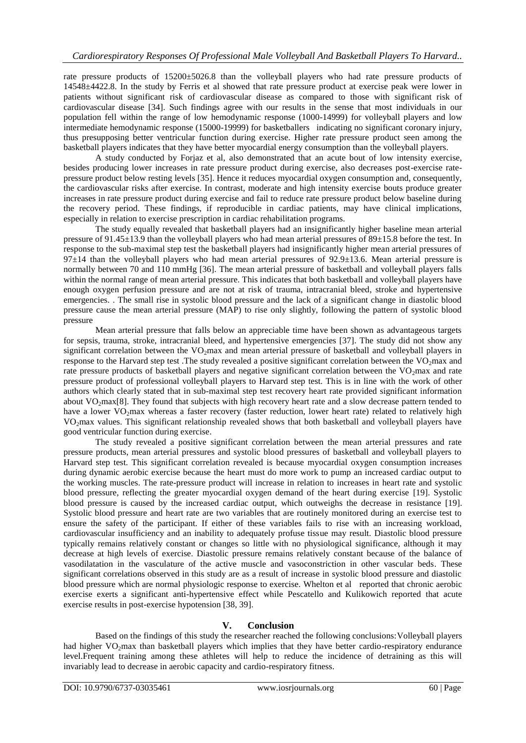rate pressure products of 15200±5026.8 than the volleyball players who had rate pressure products of 14548±4422.8. In the study by Ferris et al showed that rate pressure product at exercise peak were lower in patients without significant risk of cardiovascular disease as compared to those with significant risk of cardiovascular disease [34]. Such findings agree with our results in the sense that most individuals in our population fell within the range of low hemodynamic response (1000-14999) for volleyball players and low intermediate hemodynamic response (15000-19999) for basketballers indicating no significant coronary injury, thus presupposing better ventricular function during exercise. Higher rate pressure product seen among the basketball players indicates that they have better myocardial energy consumption than the volleyball players.

A study conducted by Forjaz et al, also demonstrated that an acute bout of low intensity exercise, besides producing lower increases in rate pressure product during exercise, also decreases post-exercise ratepressure product below resting levels [35]. Hence it reduces myocardial oxygen consumption and, consequently, the cardiovascular risks after exercise. In contrast, moderate and high intensity exercise bouts produce greater increases in rate pressure product during exercise and fail to reduce rate pressure product below baseline during the recovery period. These findings, if reproducible in cardiac patients, may have clinical implications, especially in relation to exercise prescription in cardiac rehabilitation programs.

The study equally revealed that basketball players had an insignificantly higher baseline mean arterial pressure of 91.45±13.9 than the volleyball players who had mean arterial pressures of 89±15.8 before the test. In response to the sub-maximal step test the basketball players had insignificantly higher mean arterial pressures of  $97±14$  than the volleyball players who had mean arterial pressures of  $92.9±13.6$ . Mean arterial pressure is normally between 70 and 110 mmHg [36]. The mean arterial pressure of basketball and volleyball players falls within the normal range of mean arterial pressure. This indicates that both basketball and volleyball players have enough oxygen perfusion pressure and are not at risk of trauma, intracranial bleed, stroke and hypertensive emergencies. . The small rise in systolic blood pressure and the lack of a significant change in diastolic blood pressure cause the mean arterial pressure (MAP) to rise only slightly, following the pattern of systolic blood pressure

Mean arterial pressure that falls below an appreciable time have been shown as advantageous targets for sepsis, trauma, stroke, intracranial bleed, and hypertensive emergencies [37]. The study did not show any significant correlation between the VO<sub>2</sub>max and mean arterial pressure of basketball and volleyball players in response to the Harvard step test .The study revealed a positive significant correlation between the  $VO<sub>2</sub>$ max and rate pressure products of basketball players and negative significant correlation between the  $VO<sub>2</sub>$ max and rate pressure product of professional volleyball players to Harvard step test. This is in line with the work of other authors which clearly stated that in sub-maximal step test recovery heart rate provided significant information about VO<sub>2</sub>max<sup>[8]</sup>. They found that subjects with high recovery heart rate and a slow decrease pattern tended to have a lower VO<sub>2</sub>max whereas a faster recovery (faster reduction, lower heart rate) related to relatively high VO2max values. This significant relationship revealed shows that both basketball and volleyball players have good ventricular function during exercise.

The study revealed a positive significant correlation between the mean arterial pressures and rate pressure products, mean arterial pressures and systolic blood pressures of basketball and volleyball players to Harvard step test. This significant correlation revealed is because myocardial oxygen consumption increases during dynamic aerobic exercise because the heart must do more work to pump an increased cardiac output to the working muscles. The rate-pressure product will increase in relation to increases in heart rate and systolic blood pressure, reflecting the greater myocardial oxygen demand of the heart during exercise [19]. Systolic blood pressure is caused by the increased cardiac output, which outweighs the decrease in resistance [19]. Systolic blood pressure and heart rate are two variables that are routinely monitored during an exercise test to ensure the safety of the participant. If either of these variables fails to rise with an increasing workload, cardiovascular insufficiency and an inability to adequately profuse tissue may result. Diastolic blood pressure typically remains relatively constant or changes so little with no physiological significance, although it may decrease at high levels of exercise. Diastolic pressure remains relatively constant because of the balance of vasodilatation in the vasculature of the active muscle and vasoconstriction in other vascular beds. These significant correlations observed in this study are as a result of increase in systolic blood pressure and diastolic blood pressure which are normal physiologic response to exercise. Whelton et al reported that chronic aerobic exercise exerts a significant anti-hypertensive effect while Pescatello and Kulikowich reported that acute exercise results in post-exercise hypotension [38, 39].

## **V. Conclusion**

Based on the findings of this study the researcher reached the following conclusions:Volleyball players had higher VO<sub>2</sub>max than basketball players which implies that they have better cardio-respiratory endurance level.Frequent training among these athletes will help to reduce the incidence of detraining as this will invariably lead to decrease in aerobic capacity and cardio-respiratory fitness.